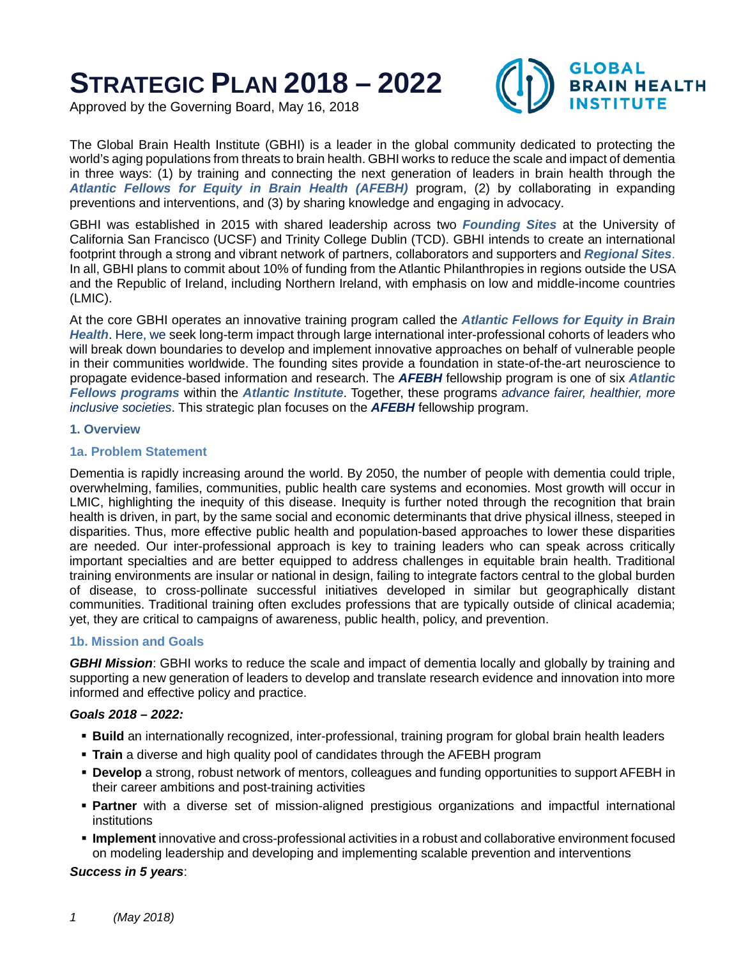# **STRATEGIC PLAN 2018 – 2022**

**GLOBAL BRAIN HEALTH INSTITUTE** 

Approved by the Governing Board, May 16, 2018

The Global Brain Health Institute (GBHI) is a leader in the global community dedicated to protecting the world's aging populations from threats to brain health. GBHI works to reduce the scale and impact of dementia in three ways: (1) by training and connecting the next generation of leaders in brain health through the *Atlantic Fellows for Equity in Brain Health (AFEBH)* program, (2) by collaborating in expanding preventions and interventions, and (3) by sharing knowledge and engaging in advocacy.

GBHI was established in 2015 with shared leadership across two *Founding Sites* at the University of California San Francisco (UCSF) and Trinity College Dublin (TCD). GBHI intends to create an international footprint through a strong and vibrant network of partners, collaborators and supporters and *Regional Sites*. In all, GBHI plans to commit about 10% of funding from the Atlantic Philanthropies in regions outside the USA and the Republic of Ireland, including Northern Ireland, with emphasis on low and middle-income countries (LMIC).

At the core GBHI operates an innovative training program called the *Atlantic Fellows for Equity in Brain Health*. Here, we seek long-term impact through large international inter-professional cohorts of leaders who will break down boundaries to develop and implement innovative approaches on behalf of vulnerable people in their communities worldwide. The founding sites provide a foundation in state-of-the-art neuroscience to propagate evidence-based information and research. The *AFEBH* fellowship program is one of six *Atlantic Fellows programs* within the *Atlantic Institute*. Together, these programs *advance fairer, healthier, more inclusive societies*. This strategic plan focuses on the *AFEBH* fellowship program.

# **1. Overview**

# **1a. Problem Statement**

Dementia is rapidly increasing around the world. By 2050, the number of people with dementia could triple, overwhelming, families, communities, public health care systems and economies. Most growth will occur in LMIC, highlighting the inequity of this disease. Inequity is further noted through the recognition that brain health is driven, in part, by the same social and economic determinants that drive physical illness, steeped in disparities. Thus, more effective public health and population-based approaches to lower these disparities are needed. Our inter-professional approach is key to training leaders who can speak across critically important specialties and are better equipped to address challenges in equitable brain health. Traditional training environments are insular or national in design, failing to integrate factors central to the global burden of disease, to cross-pollinate successful initiatives developed in similar but geographically distant communities. Traditional training often excludes professions that are typically outside of clinical academia; yet, they are critical to campaigns of awareness, public health, policy, and prevention.

# **1b. Mission and Goals**

*GBHI Mission*: GBHI works to reduce the scale and impact of dementia locally and globally by training and supporting a new generation of leaders to develop and translate research evidence and innovation into more informed and effective policy and practice.

# *Goals 2018 – 2022:*

- **Build** an internationally recognized, inter-professional, training program for global brain health leaders
- **Train** a diverse and high quality pool of candidates through the AFEBH program
- **Develop** a strong, robust network of mentors, colleagues and funding opportunities to support AFEBH in their career ambitions and post-training activities
- **Partner** with a diverse set of mission-aligned prestigious organizations and impactful international institutions
- **Implement** innovative and cross-professional activities in a robust and collaborative environment focused on modeling leadership and developing and implementing scalable prevention and interventions

#### *Success in 5 years*: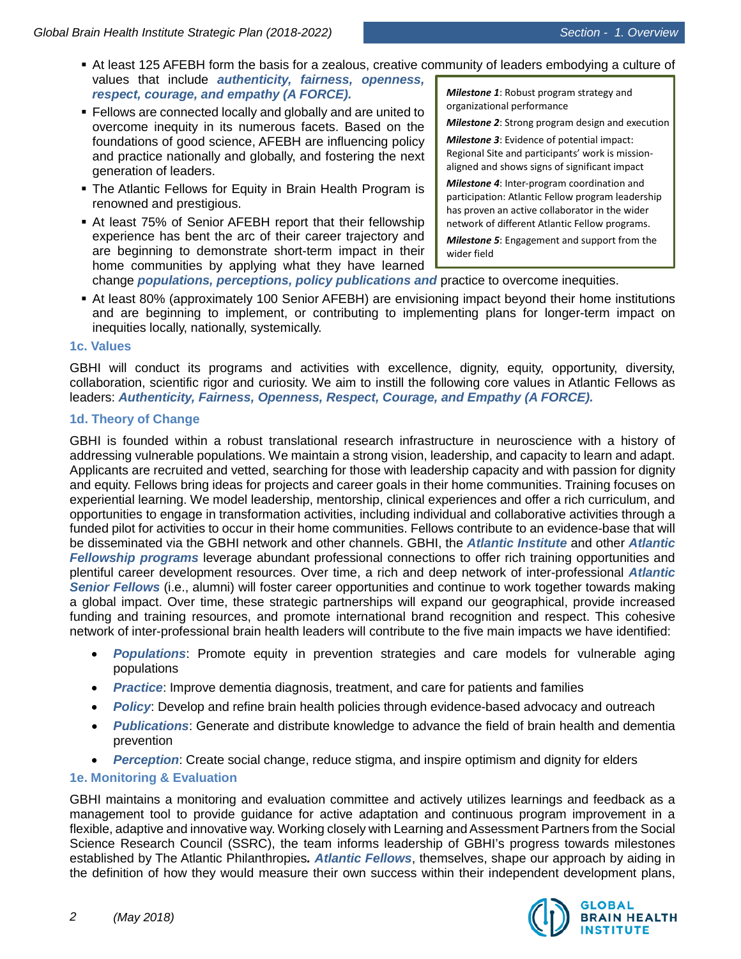- At least 125 AFEBH form the basis for a zealous, creative community of leaders embodying a culture of values that include *authenticity, fairness, openness, respect, courage, and empathy (A FORCE). Milestone 1*: Robust program strategy and
- Fellows are connected locally and globally and are united to overcome inequity in its numerous facets. Based on the foundations of good science, AFEBH are influencing policy and practice nationally and globally, and fostering the next generation of leaders.
- The Atlantic Fellows for Equity in Brain Health Program is renowned and prestigious.
- At least 75% of Senior AFEBH report that their fellowship experience has bent the arc of their career trajectory and are beginning to demonstrate short-term impact in their home communities by applying what they have learned

organizational performance

*Milestone 2*: Strong program design and execution

*Milestone 3*: Evidence of potential impact: Regional Site and participants' work is missionaligned and shows signs of significant impact

*Milestone 4*: Inter-program coordination and participation: Atlantic Fellow program leadership has proven an active collaborator in the wider network of different Atlantic Fellow programs.

*Milestone 5*: Engagement and support from the wider field

change *populations, perceptions, policy publications and* practice to overcome inequities.

 At least 80% (approximately 100 Senior AFEBH) are envisioning impact beyond their home institutions and are beginning to implement, or contributing to implementing plans for longer-term impact on inequities locally, nationally, systemically.

# **1c. Values**

GBHI will conduct its programs and activities with excellence, dignity, equity, opportunity, diversity, collaboration, scientific rigor and curiosity. We aim to instill the following core values in Atlantic Fellows as leaders: *Authenticity, Fairness, Openness, Respect, Courage, and Empathy (A FORCE).*

# **1d. Theory of Change**

GBHI is founded within a robust translational research infrastructure in neuroscience with a history of addressing vulnerable populations. We maintain a strong vision, leadership, and capacity to learn and adapt. Applicants are recruited and vetted, searching for those with leadership capacity and with passion for dignity and equity. Fellows bring ideas for projects and career goals in their home communities. Training focuses on experiential learning. We model leadership, mentorship, clinical experiences and offer a rich curriculum, and opportunities to engage in transformation activities, including individual and collaborative activities through a funded pilot for activities to occur in their home communities. Fellows contribute to an evidence-base that will be disseminated via the GBHI network and other channels. GBHI, the *Atlantic Institute* and other *Atlantic Fellowship programs* leverage abundant professional connections to offer rich training opportunities and plentiful career development resources. Over time, a rich and deep network of inter-professional *Atlantic Senior Fellows* (i.e., alumni) will foster career opportunities and continue to work together towards making a global impact. Over time, these strategic partnerships will expand our geographical, provide increased funding and training resources, and promote international brand recognition and respect. This cohesive network of inter-professional brain health leaders will contribute to the five main impacts we have identified:

- *Populations*: Promote equity in prevention strategies and care models for vulnerable aging populations
- *Practice*: Improve dementia diagnosis, treatment, and care for patients and families
- *Policy:* Develop and refine brain health policies through evidence-based advocacy and outreach
- *Publications*: Generate and distribute knowledge to advance the field of brain health and dementia prevention
- *Perception*: Create social change, reduce stigma, and inspire optimism and dignity for elders

# **1e. Monitoring & Evaluation**

GBHI maintains a monitoring and evaluation committee and actively utilizes learnings and feedback as a management tool to provide guidance for active adaptation and continuous program improvement in a flexible, adaptive and innovative way. Working closely with Learning and Assessment Partners from the Social Science Research Council (SSRC), the team informs leadership of GBHI's progress towards milestones established by The Atlantic Philanthropies*. Atlantic Fellows*, themselves, shape our approach by aiding in the definition of how they would measure their own success within their independent development plans,

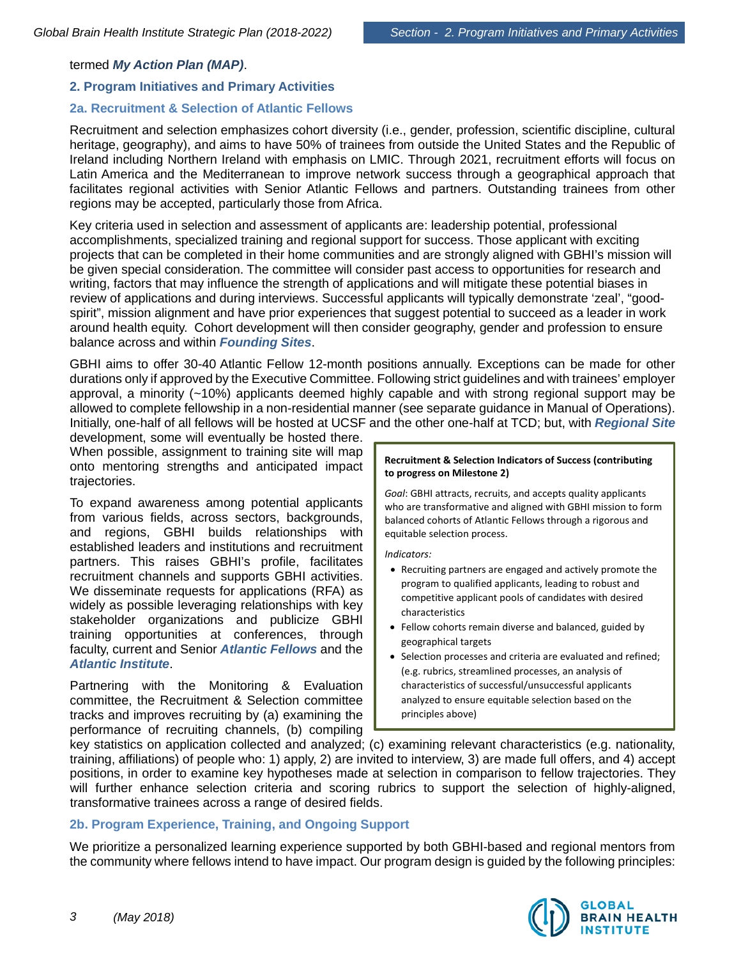# termed *My Action Plan (MAP)*.

# **2. Program Initiatives and Primary Activities**

# **2a. Recruitment & Selection of Atlantic Fellows**

Recruitment and selection emphasizes cohort diversity (i.e., gender, profession, scientific discipline, cultural heritage, geography), and aims to have 50% of trainees from outside the United States and the Republic of Ireland including Northern Ireland with emphasis on LMIC. Through 2021, recruitment efforts will focus on Latin America and the Mediterranean to improve network success through a geographical approach that facilitates regional activities with Senior Atlantic Fellows and partners. Outstanding trainees from other regions may be accepted, particularly those from Africa.

Key criteria used in selection and assessment of applicants are: leadership potential, professional accomplishments, specialized training and regional support for success. Those applicant with exciting projects that can be completed in their home communities and are strongly aligned with GBHI's mission will be given special consideration. The committee will consider past access to opportunities for research and writing, factors that may influence the strength of applications and will mitigate these potential biases in review of applications and during interviews. Successful applicants will typically demonstrate 'zeal', "goodspirit", mission alignment and have prior experiences that suggest potential to succeed as a leader in work around health equity. Cohort development will then consider geography, gender and profession to ensure balance across and within *Founding Sites*.

GBHI aims to offer 30-40 Atlantic Fellow 12-month positions annually. Exceptions can be made for other durations only if approved by the Executive Committee. Following strict guidelines and with trainees' employer approval, a minority (~10%) applicants deemed highly capable and with strong regional support may be allowed to complete fellowship in a non-residential manner (see separate guidance in Manual of Operations). Initially, one-half of all fellows will be hosted at UCSF and the other one-half at TCD; but, with *Regional Site*

development, some will eventually be hosted there. When possible, assignment to training site will map onto mentoring strengths and anticipated impact trajectories.

To expand awareness among potential applicants from various fields, across sectors, backgrounds, and regions, GBHI builds relationships with established leaders and institutions and recruitment partners. This raises GBHI's profile, facilitates recruitment channels and supports GBHI activities. We disseminate requests for applications (RFA) as widely as possible leveraging relationships with key stakeholder organizations and publicize GBHI training opportunities at conferences, through faculty, current and Senior *Atlantic Fellows* and the *Atlantic Institute*.

Partnering with the Monitoring & Evaluation committee, the Recruitment & Selection committee tracks and improves recruiting by (a) examining the performance of recruiting channels, (b) compiling

#### **Recruitment & Selection Indicators of Success (contributing to progress on Milestone 2)**

*Goal*: GBHI attracts, recruits, and accepts quality applicants who are transformative and aligned with GBHI mission to form balanced cohorts of Atlantic Fellows through a rigorous and equitable selection process.

*Indicators:*

- Recruiting partners are engaged and actively promote the program to qualified applicants, leading to robust and competitive applicant pools of candidates with desired characteristics
- Fellow cohorts remain diverse and balanced, guided by geographical targets
- Selection processes and criteria are evaluated and refined; (e.g. rubrics, streamlined processes, an analysis of characteristics of successful/unsuccessful applicants analyzed to ensure equitable selection based on the principles above)

key statistics on application collected and analyzed; (c) examining relevant characteristics (e.g. nationality, training, affiliations) of people who: 1) apply, 2) are invited to interview, 3) are made full offers, and 4) accept positions, in order to examine key hypotheses made at selection in comparison to fellow trajectories. They will further enhance selection criteria and scoring rubrics to support the selection of highly-aligned, transformative trainees across a range of desired fields.

# **2b. Program Experience, Training, and Ongoing Support**

We prioritize a personalized learning experience supported by both GBHI-based and regional mentors from the community where fellows intend to have impact. Our program design is guided by the following principles:

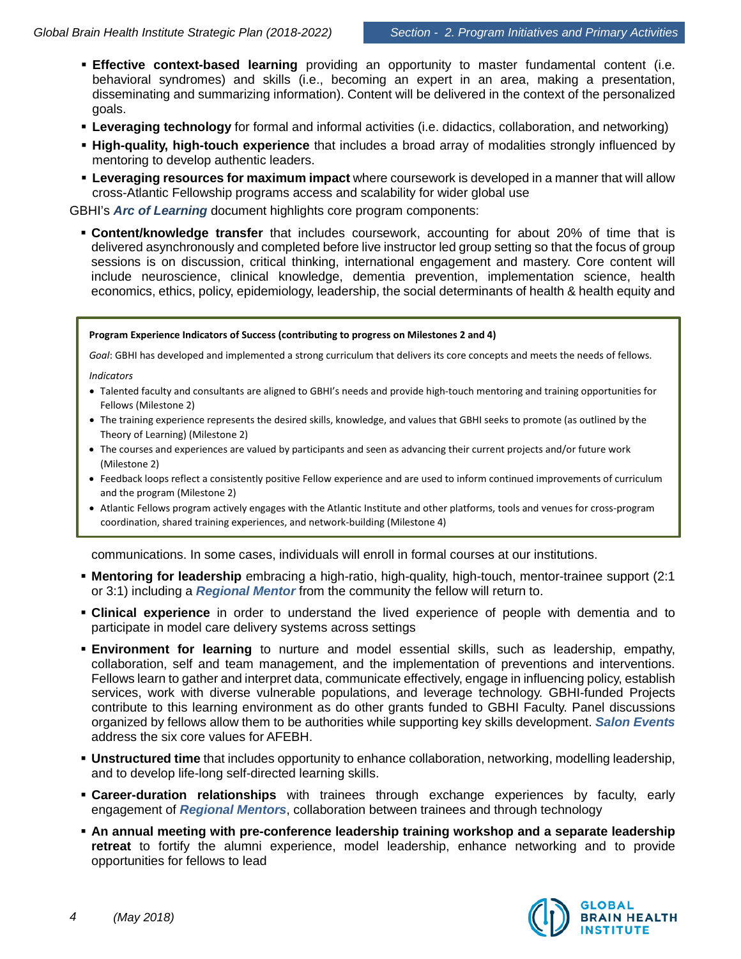- **Effective context-based learning** providing an opportunity to master fundamental content (i.e. behavioral syndromes) and skills (i.e., becoming an expert in an area, making a presentation, disseminating and summarizing information). Content will be delivered in the context of the personalized goals.
- **Leveraging technology** for formal and informal activities (i.e. didactics, collaboration, and networking)
- **High-quality, high-touch experience** that includes a broad array of modalities strongly influenced by mentoring to develop authentic leaders.
- **Leveraging resources for maximum impact** where coursework is developed in a manner that will allow cross-Atlantic Fellowship programs access and scalability for wider global use

GBHI's *Arc of Learning* document highlights core program components:

 **Content/knowledge transfer** that includes coursework, accounting for about 20% of time that is delivered asynchronously and completed before live instructor led group setting so that the focus of group sessions is on discussion, critical thinking, international engagement and mastery. Core content will include neuroscience, clinical knowledge, dementia prevention, implementation science, health economics, ethics, policy, epidemiology, leadership, the social determinants of health & health equity and

#### **Program Experience Indicators of Success (contributing to progress on Milestones 2 and 4)**

*Goal*: GBHI has developed and implemented a strong curriculum that delivers its core concepts and meets the needs of fellows.

*Indicators*

- Talented faculty and consultants are aligned to GBHI's needs and provide high-touch mentoring and training opportunities for Fellows (Milestone 2)
- The training experience represents the desired skills, knowledge, and values that GBHI seeks to promote (as outlined by the Theory of Learning) (Milestone 2)
- The courses and experiences are valued by participants and seen as advancing their current projects and/or future work (Milestone 2)
- Feedback loops reflect a consistently positive Fellow experience and are used to inform continued improvements of curriculum and the program (Milestone 2)
- Atlantic Fellows program actively engages with the Atlantic Institute and other platforms, tools and venues for cross-program coordination, shared training experiences, and network-building (Milestone 4)

communications. In some cases, individuals will enroll in formal courses at our institutions.

- **Mentoring for leadership** embracing a high-ratio, high-quality, high-touch, mentor-trainee support (2:1 or 3:1) including a *Regional Mentor* from the community the fellow will return to.
- **Clinical experience** in order to understand the lived experience of people with dementia and to participate in model care delivery systems across settings
- **Environment for learning** to nurture and model essential skills, such as leadership, empathy, collaboration, self and team management, and the implementation of preventions and interventions. Fellows learn to gather and interpret data, communicate effectively, engage in influencing policy, establish services, work with diverse vulnerable populations, and leverage technology. GBHI-funded Projects contribute to this learning environment as do other grants funded to GBHI Faculty. Panel discussions organized by fellows allow them to be authorities while supporting key skills development. *Salon Events* address the six core values for AFEBH.
- **Unstructured time** that includes opportunity to enhance collaboration, networking, modelling leadership, and to develop life-long self-directed learning skills.
- **Career-duration relationships** with trainees through exchange experiences by faculty, early engagement of *Regional Mentors*, collaboration between trainees and through technology
- **An annual meeting with pre-conference leadership training workshop and a separate leadership retreat** to fortify the alumni experience, model leadership, enhance networking and to provide opportunities for fellows to lead

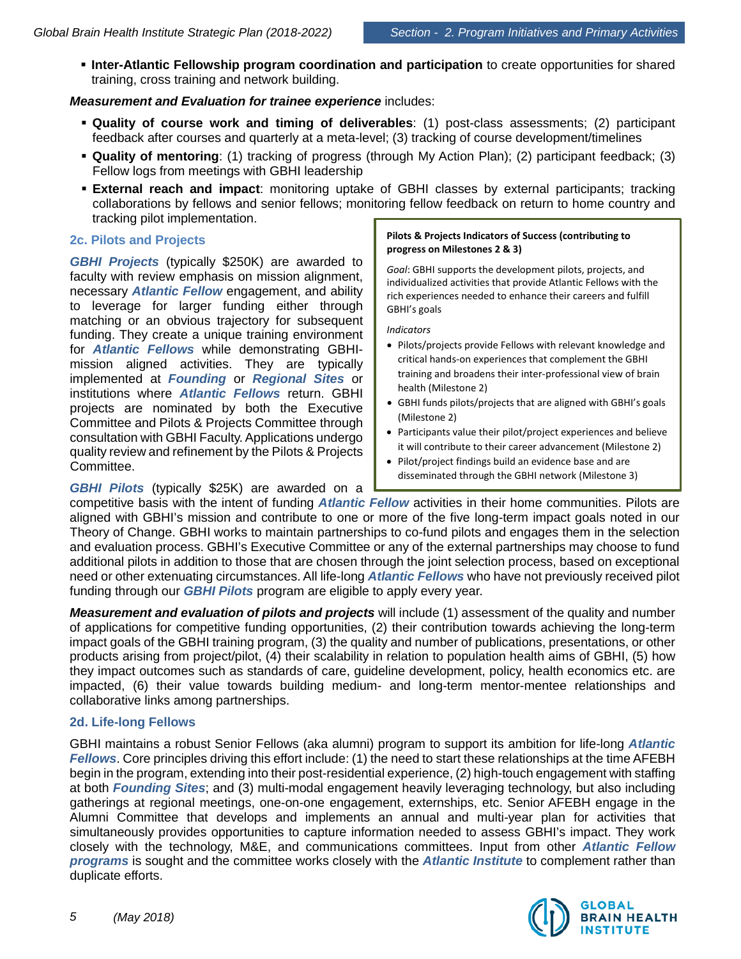**Inter-Atlantic Fellowship program coordination and participation** to create opportunities for shared training, cross training and network building.

# *Measurement and Evaluation for trainee experience* includes:

- **Quality of course work and timing of deliverables**: (1) post-class assessments; (2) participant feedback after courses and quarterly at a meta-level; (3) tracking of course development/timelines
- **Quality of mentoring**: (1) tracking of progress (through My Action Plan); (2) participant feedback; (3) Fellow logs from meetings with GBHI leadership
- **External reach and impact**: monitoring uptake of GBHI classes by external participants; tracking collaborations by fellows and senior fellows; monitoring fellow feedback on return to home country and tracking pilot implementation.

# **2c. Pilots and Projects**

*GBHI Projects* (typically \$250K) are awarded to faculty with review emphasis on mission alignment, necessary *Atlantic Fellow* engagement, and ability to leverage for larger funding either through matching or an obvious trajectory for subsequent funding. They create a unique training environment for *Atlantic Fellows* while demonstrating GBHImission aligned activities. They are typically implemented at *Founding* or *Regional Sites* or institutions where *Atlantic Fellows* return. GBHI projects are nominated by both the Executive Committee and Pilots & Projects Committee through consultation with GBHI Faculty.Applications undergo quality review and refinement by the Pilots & Projects Committee.

*GBHI Pilots* (typically \$25K) are awarded on a

#### **Pilots & Projects Indicators of Success (contributing to progress on Milestones 2 & 3)**

*Goal*: GBHI supports the development pilots, projects, and individualized activities that provide Atlantic Fellows with the rich experiences needed to enhance their careers and fulfill GBHI's goals

*Indicators*

- Pilots/projects provide Fellows with relevant knowledge and critical hands-on experiences that complement the GBHI training and broadens their inter-professional view of brain health (Milestone 2)
- GBHI funds pilots/projects that are aligned with GBHI's goals (Milestone 2)
- Participants value their pilot/project experiences and believe it will contribute to their career advancement (Milestone 2)
- Pilot/project findings build an evidence base and are disseminated through the GBHI network (Milestone 3)

competitive basis with the intent of funding *Atlantic Fellow* activities in their home communities. Pilots are aligned with GBHI's mission and contribute to one or more of the five long-term impact goals noted in our Theory of Change. GBHI works to maintain partnerships to co-fund pilots and engages them in the selection and evaluation process. GBHI's Executive Committee or any of the external partnerships may choose to fund additional pilots in addition to those that are chosen through the joint selection process, based on exceptional need or other extenuating circumstances. All life-long *Atlantic Fellows* who have not previously received pilot funding through our *GBHI Pilots* program are eligible to apply every year.

*Measurement and evaluation of pilots and projects* will include (1) assessment of the quality and number of applications for competitive funding opportunities, (2) their contribution towards achieving the long-term impact goals of the GBHI training program, (3) the quality and number of publications, presentations, or other products arising from project/pilot, (4) their scalability in relation to population health aims of GBHI, (5) how they impact outcomes such as standards of care, guideline development, policy, health economics etc. are impacted, (6) their value towards building medium- and long-term mentor-mentee relationships and collaborative links among partnerships.

# **2d. Life-long Fellows**

GBHI maintains a robust Senior Fellows (aka alumni) program to support its ambition for life-long *Atlantic Fellows*. Core principles driving this effort include: (1) the need to start these relationships at the time AFEBH begin in the program, extending into their post-residential experience, (2) high-touch engagement with staffing at both *Founding Sites*; and (3) multi-modal engagement heavily leveraging technology, but also including gatherings at regional meetings, one-on-one engagement, externships, etc. Senior AFEBH engage in the Alumni Committee that develops and implements an annual and multi-year plan for activities that simultaneously provides opportunities to capture information needed to assess GBHI's impact. They work closely with the technology, M&E, and communications committees. Input from other *Atlantic Fellow programs* is sought and the committee works closely with the *Atlantic Institute* to complement rather than duplicate efforts.

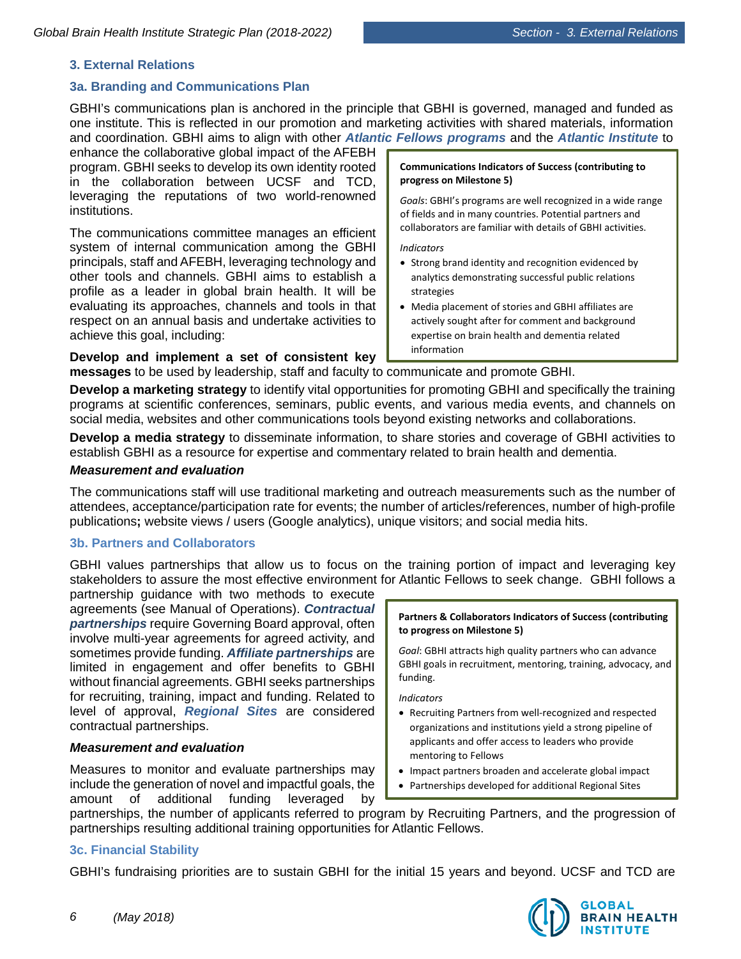# **3. External Relations**

# **3a. Branding and Communications Plan**

GBHI's communications plan is anchored in the principle that GBHI is governed, managed and funded as one institute. This is reflected in our promotion and marketing activities with shared materials, information and coordination. GBHI aims to align with other *Atlantic Fellows programs* and the *Atlantic Institute* to

enhance the collaborative global impact of the AFEBH program. GBHI seeks to develop its own identity rooted in the collaboration between UCSF and TCD, leveraging the reputations of two world-renowned institutions.

The communications committee manages an efficient system of internal communication among the GBHI principals, staff and AFEBH, leveraging technology and other tools and channels. GBHI aims to establish a profile as a leader in global brain health. It will be evaluating its approaches, channels and tools in that respect on an annual basis and undertake activities to achieve this goal, including:

**Develop and implement a set of consistent key**

#### **Communications Indicators of Success (contributing to progress on Milestone 5)**

*Goals*: GBHI's programs are well recognized in a wide range of fields and in many countries. Potential partners and collaborators are familiar with details of GBHI activities.

#### *Indicators*

- Strong brand identity and recognition evidenced by analytics demonstrating successful public relations strategies
- Media placement of stories and GBHI affiliates are actively sought after for comment and background expertise on brain health and dementia related information

**messages** to be used by leadership, staff and faculty to communicate and promote GBHI.

**Develop a marketing strategy** to identify vital opportunities for promoting GBHI and specifically the training programs at scientific conferences, seminars, public events, and various media events, and channels on social media, websites and other communications tools beyond existing networks and collaborations.

**Develop a media strategy** to disseminate information, to share stories and coverage of GBHI activities to establish GBHI as a resource for expertise and commentary related to brain health and dementia.

### *Measurement and evaluation*

The communications staff will use traditional marketing and outreach measurements such as the number of attendees, acceptance/participation rate for events; the number of articles/references, number of high-profile publications**;** website views / users (Google analytics), unique visitors; and social media hits.

# **3b. Partners and Collaborators**

GBHI values partnerships that allow us to focus on the training portion of impact and leveraging key stakeholders to assure the most effective environment for Atlantic Fellows to seek change. GBHI follows a

partnership guidance with two methods to execute agreements (see Manual of Operations). *Contractual partnerships* require Governing Board approval, often involve multi-year agreements for agreed activity, and sometimes provide funding. *Affiliate partnerships* are limited in engagement and offer benefits to GBHI without financial agreements. GBHI seeks partnerships for recruiting, training, impact and funding. Related to level of approval, *Regional Sites* are considered contractual partnerships.

# *Measurement and evaluation*

Measures to monitor and evaluate partnerships may include the generation of novel and impactful goals, the amount of additional funding leveraged by

#### **Partners & Collaborators Indicators of Success (contributing to progress on Milestone 5)**

*Goal*: GBHI attracts high quality partners who can advance GBHI goals in recruitment, mentoring, training, advocacy, and funding.

*Indicators*

- Recruiting Partners from well-recognized and respected organizations and institutions yield a strong pipeline of applicants and offer access to leaders who provide mentoring to Fellows
- Impact partners broaden and accelerate global impact
- Partnerships developed for additional Regional Sites

partnerships, the number of applicants referred to program by Recruiting Partners, and the progression of partnerships resulting additional training opportunities for Atlantic Fellows.

# **3c. Financial Stability**

GBHI's fundraising priorities are to sustain GBHI for the initial 15 years and beyond. UCSF and TCD are

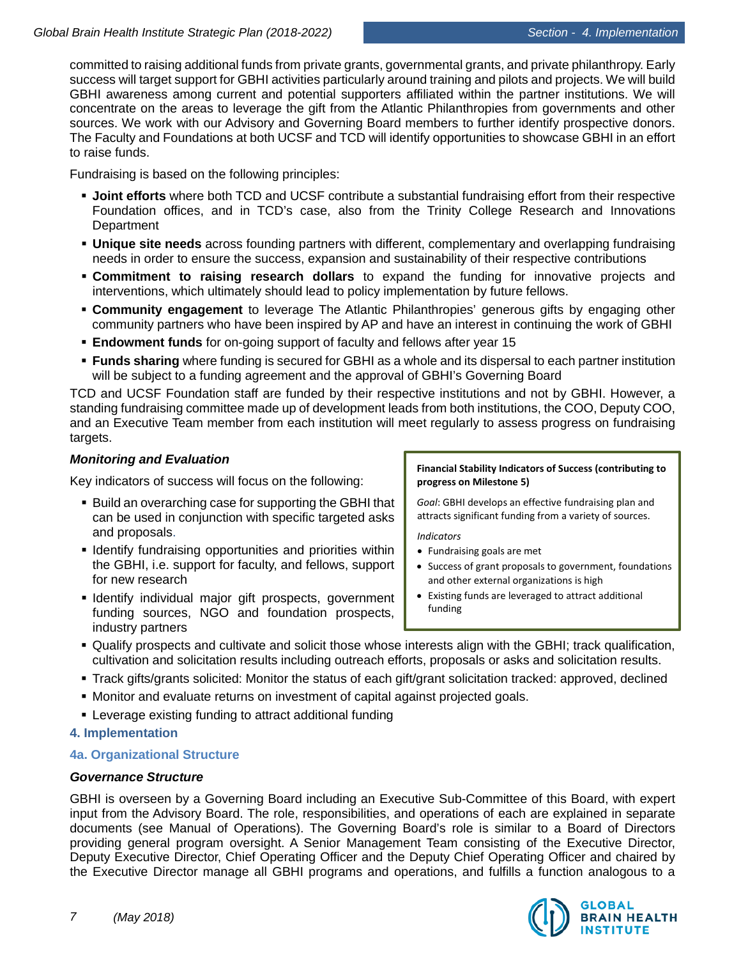committed to raising additional funds from private grants, governmental grants, and private philanthropy. Early success will target support for GBHI activities particularly around training and pilots and projects. We will build GBHI awareness among current and potential supporters affiliated within the partner institutions. We will concentrate on the areas to leverage the gift from the Atlantic Philanthropies from governments and other sources. We work with our Advisory and Governing Board members to further identify prospective donors. The Faculty and Foundations at both UCSF and TCD will identify opportunities to showcase GBHI in an effort to raise funds.

Fundraising is based on the following principles:

- **Joint efforts** where both TCD and UCSF contribute a substantial fundraising effort from their respective Foundation offices, and in TCD's case, also from the Trinity College Research and Innovations **Department**
- **Unique site needs** across founding partners with different, complementary and overlapping fundraising needs in order to ensure the success, expansion and sustainability of their respective contributions
- **Commitment to raising research dollars** to expand the funding for innovative projects and interventions, which ultimately should lead to policy implementation by future fellows.
- **Community engagement** to leverage The Atlantic Philanthropies' generous gifts by engaging other community partners who have been inspired by AP and have an interest in continuing the work of GBHI
- **Endowment funds** for on-going support of faculty and fellows after year 15
- **Funds sharing** where funding is secured for GBHI as a whole and its dispersal to each partner institution will be subject to a funding agreement and the approval of GBHI's Governing Board

TCD and UCSF Foundation staff are funded by their respective institutions and not by GBHI. However, a standing fundraising committee made up of development leads from both institutions, the COO, Deputy COO, and an Executive Team member from each institution will meet regularly to assess progress on fundraising targets.

# *Monitoring and Evaluation*

Key indicators of success will focus on the following:

- Build an overarching case for supporting the GBHI that can be used in conjunction with specific targeted asks and proposals.
- **I** Identify fundraising opportunities and priorities within the GBHI, i.e. support for faculty, and fellows, support for new research
- **I** Identify individual major gift prospects, government funding sources, NGO and foundation prospects, industry partners

**Financial Stability Indicators of Success (contributing to progress on Milestone 5)**

*Goal*: GBHI develops an effective fundraising plan and attracts significant funding from a variety of sources.

*Indicators*

- Fundraising goals are met
- Success of grant proposals to government, foundations and other external organizations is high
- Existing funds are leveraged to attract additional funding
- Qualify prospects and cultivate and solicit those whose interests align with the GBHI; track qualification, cultivation and solicitation results including outreach efforts, proposals or asks and solicitation results.
- Track gifts/grants solicited: Monitor the status of each gift/grant solicitation tracked: approved, declined
- Monitor and evaluate returns on investment of capital against projected goals.
- Leverage existing funding to attract additional funding

# **4. Implementation**

# **4a. Organizational Structure**

# *Governance Structure*

GBHI is overseen by a Governing Board including an Executive Sub-Committee of this Board, with expert input from the Advisory Board. The role, responsibilities, and operations of each are explained in separate documents (see Manual of Operations). The Governing Board's role is similar to a Board of Directors providing general program oversight. A Senior Management Team consisting of the Executive Director, Deputy Executive Director, Chief Operating Officer and the Deputy Chief Operating Officer and chaired by the Executive Director manage all GBHI programs and operations, and fulfills a function analogous to a